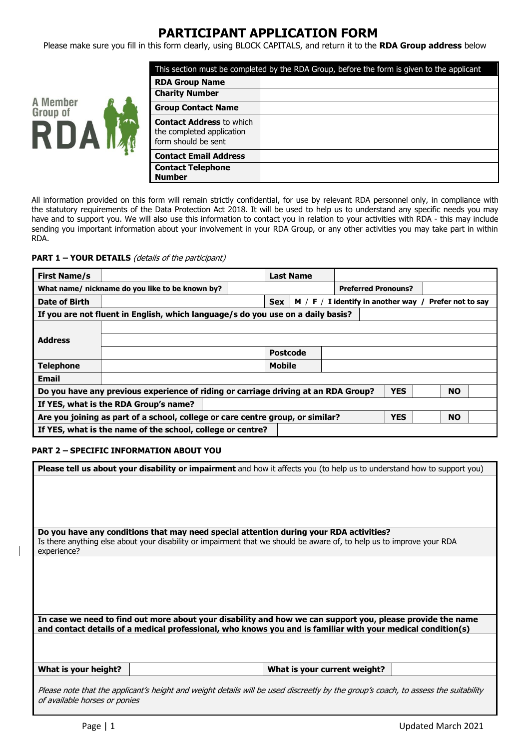## **PARTICIPANT APPLICATION FORM**

Please make sure you fill in this form clearly, using BLOCK CAPITALS, and return it to the **RDA Group address** below



| This section must be completed by the RDA Group, before the form is given to the applicant |  |  |  |
|--------------------------------------------------------------------------------------------|--|--|--|
| <b>RDA Group Name</b>                                                                      |  |  |  |
| <b>Charity Number</b>                                                                      |  |  |  |
| <b>Group Contact Name</b>                                                                  |  |  |  |
| <b>Contact Address to which</b><br>the completed application<br>form should be sent        |  |  |  |
| <b>Contact Email Address</b>                                                               |  |  |  |
| <b>Contact Telephone</b><br><b>Number</b>                                                  |  |  |  |

All information provided on this form will remain strictly confidential, for use by relevant RDA personnel only, in compliance with the statutory requirements of the Data Protection Act 2018. It will be used to help us to understand any specific needs you may have and to support you. We will also use this information to contact you in relation to your activities with RDA - this may include sending you important information about your involvement in your RDA Group, or any other activities you may take part in within RDA.

**PART 1 – YOUR DETAILS** (details of the participant)

| <b>First Name/s</b>                                        |                                                                                                           |  | <b>Last Name</b> |                                       |            |                   |  |
|------------------------------------------------------------|-----------------------------------------------------------------------------------------------------------|--|------------------|---------------------------------------|------------|-------------------|--|
|                                                            | What name/ nickname do you like to be known by?                                                           |  |                  | <b>Preferred Pronouns?</b>            |            |                   |  |
| Date of Birth                                              |                                                                                                           |  | <b>Sex</b>       | $M / F / I$ identify in another way / |            | Prefer not to say |  |
|                                                            | If you are not fluent in English, which language/s do you use on a daily basis?                           |  |                  |                                       |            |                   |  |
|                                                            |                                                                                                           |  |                  |                                       |            |                   |  |
| <b>Address</b>                                             |                                                                                                           |  |                  |                                       |            |                   |  |
|                                                            |                                                                                                           |  | <b>Postcode</b>  |                                       |            |                   |  |
| <b>Telephone</b>                                           |                                                                                                           |  | <b>Mobile</b>    |                                       |            |                   |  |
| <b>Email</b>                                               |                                                                                                           |  |                  |                                       |            |                   |  |
|                                                            | Do you have any previous experience of riding or carriage driving at an RDA Group?                        |  |                  |                                       | <b>YES</b> | <b>NO</b>         |  |
| If YES, what is the RDA Group's name?                      |                                                                                                           |  |                  |                                       |            |                   |  |
|                                                            | <b>NO</b><br>Are you joining as part of a school, college or care centre group, or similar?<br><b>YES</b> |  |                  |                                       |            |                   |  |
| If YES, what is the name of the school, college or centre? |                                                                                                           |  |                  |                                       |            |                   |  |

## **PART 2 – SPECIFIC INFORMATION ABOUT YOU**

| Please tell us about your disability or impairment and how it affects you (to help us to understand how to support you)                                             |  |
|---------------------------------------------------------------------------------------------------------------------------------------------------------------------|--|
|                                                                                                                                                                     |  |
|                                                                                                                                                                     |  |
|                                                                                                                                                                     |  |
|                                                                                                                                                                     |  |
|                                                                                                                                                                     |  |
|                                                                                                                                                                     |  |
| Do you have any conditions that may need special attention during your RDA activities?                                                                              |  |
|                                                                                                                                                                     |  |
| Is there anything else about your disability or impairment that we should be aware of, to help us to improve your RDA                                               |  |
| experience?                                                                                                                                                         |  |
|                                                                                                                                                                     |  |
|                                                                                                                                                                     |  |
|                                                                                                                                                                     |  |
|                                                                                                                                                                     |  |
|                                                                                                                                                                     |  |
|                                                                                                                                                                     |  |
|                                                                                                                                                                     |  |
| In case we need to find out more about your disability and how we can support you, please provide the name                                                          |  |
| and contact details of a medical professional, who knows you and is familiar with your medical condition(s)                                                         |  |
|                                                                                                                                                                     |  |
|                                                                                                                                                                     |  |
|                                                                                                                                                                     |  |
|                                                                                                                                                                     |  |
| What is your height?<br>What is your current weight?                                                                                                                |  |
|                                                                                                                                                                     |  |
|                                                                                                                                                                     |  |
|                                                                                                                                                                     |  |
| Please note that the applicant's height and weight details will be used discreetly by the group's coach, to assess the suitability<br>of available horses or ponies |  |